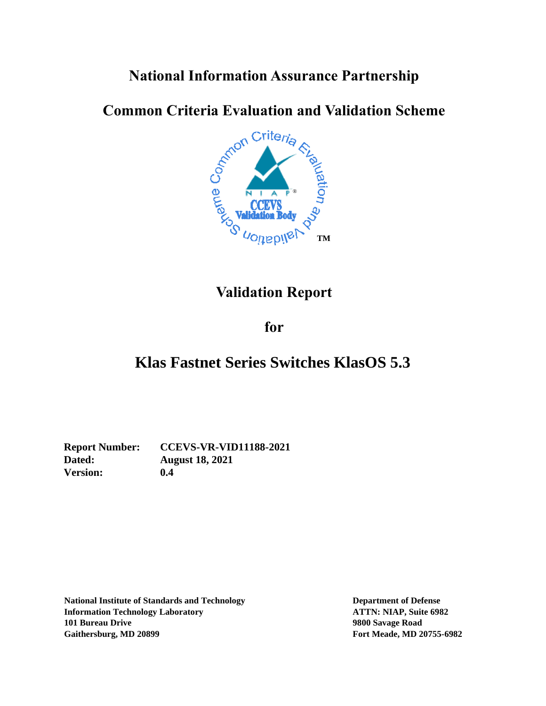# **National Information Assurance Partnership**

# **Common Criteria Evaluation and Validation Scheme**



# **Validation Report**

### **for**

# **Klas Fastnet Series Switches KlasOS 5.3**

**Version: 0.4**

**Report Number: CCEVS-VR-VID11188-2021 Dated: August 18, 2021**

**National Institute of Standards and Technology Department of Defense Information Technology Laboratory ATTN: NIAP, Suite 6982 101 Bureau Drive 9800 Savage Road Gaithersburg, MD 20899 Fort Meade, MD 20755-6982**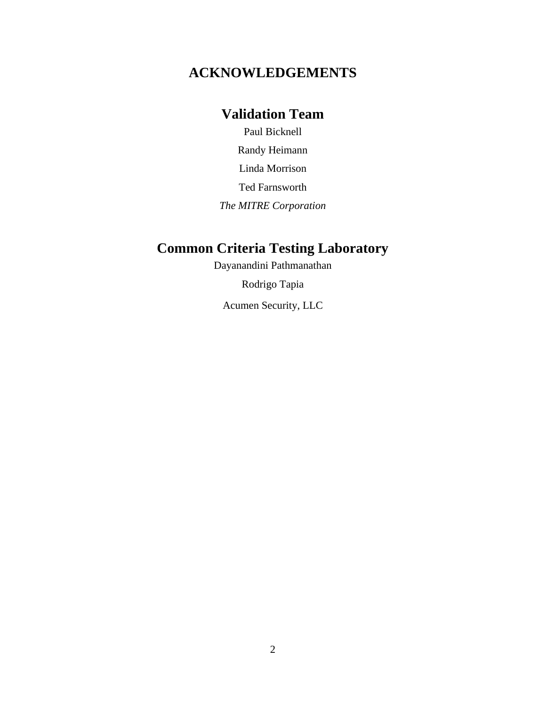### **ACKNOWLEDGEMENTS**

### **Validation Team**

Paul Bicknell

Randy Heimann

Linda Morrison

Ted Farnsworth

*The MITRE Corporation*

## **Common Criteria Testing Laboratory**

Dayanandini Pathmanathan

Rodrigo Tapia

Acumen Security, LLC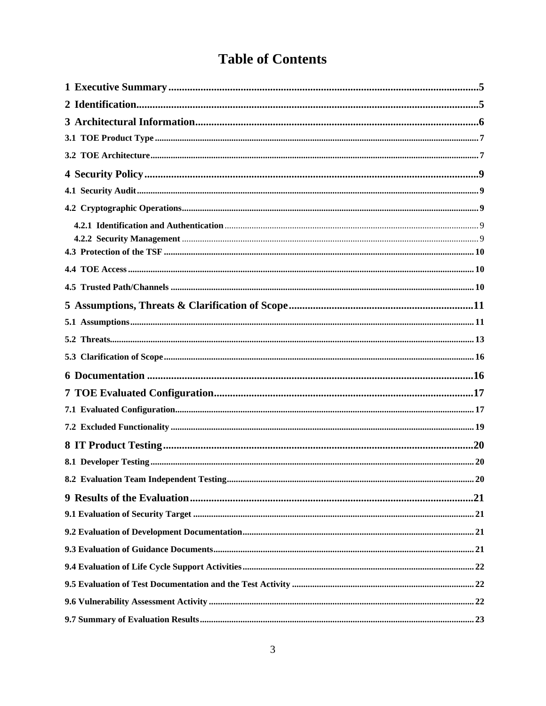# **Table of Contents**

| 8.2 Evaluation Team Independent Testing | 20 |
|-----------------------------------------|----|
|                                         |    |
|                                         |    |
|                                         |    |
|                                         |    |
|                                         |    |
|                                         |    |
|                                         |    |
|                                         |    |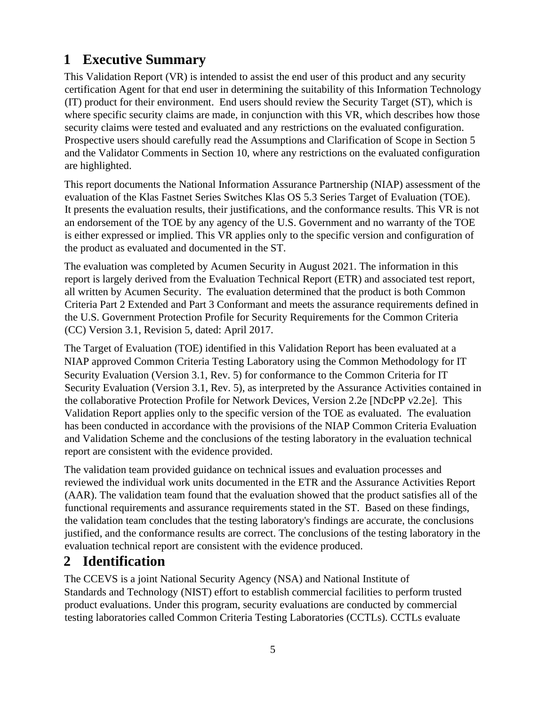## <span id="page-4-0"></span>**1 Executive Summary**

This Validation Report (VR) is intended to assist the end user of this product and any security certification Agent for that end user in determining the suitability of this Information Technology (IT) product for their environment. End users should review the Security Target (ST), which is where specific security claims are made, in conjunction with this VR, which describes how those security claims were tested and evaluated and any restrictions on the evaluated configuration. Prospective users should carefully read the Assumptions and Clarification of Scope in Section 5 and the Validator Comments in Section 10, where any restrictions on the evaluated configuration are highlighted.

This report documents the National Information Assurance Partnership (NIAP) assessment of the evaluation of the Klas Fastnet Series Switches Klas OS 5.3 Series Target of Evaluation (TOE). It presents the evaluation results, their justifications, and the conformance results. This VR is not an endorsement of the TOE by any agency of the U.S. Government and no warranty of the TOE is either expressed or implied. This VR applies only to the specific version and configuration of the product as evaluated and documented in the ST.

The evaluation was completed by Acumen Security in August 2021. The information in this report is largely derived from the Evaluation Technical Report (ETR) and associated test report, all written by Acumen Security. The evaluation determined that the product is both Common Criteria Part 2 Extended and Part 3 Conformant and meets the assurance requirements defined in the U.S. Government Protection Profile for Security Requirements for the Common Criteria (CC) Version 3.1, Revision 5, dated: April 2017.

The Target of Evaluation (TOE) identified in this Validation Report has been evaluated at a NIAP approved Common Criteria Testing Laboratory using the Common Methodology for IT Security Evaluation (Version 3.1, Rev. 5) for conformance to the Common Criteria for IT Security Evaluation (Version 3.1, Rev. 5), as interpreted by the Assurance Activities contained in the collaborative Protection Profile for Network Devices, Version 2.2e [NDcPP v2.2e]. This Validation Report applies only to the specific version of the TOE as evaluated. The evaluation has been conducted in accordance with the provisions of the NIAP Common Criteria Evaluation and Validation Scheme and the conclusions of the testing laboratory in the evaluation technical report are consistent with the evidence provided.

The validation team provided guidance on technical issues and evaluation processes and reviewed the individual work units documented in the ETR and the Assurance Activities Report (AAR). The validation team found that the evaluation showed that the product satisfies all of the functional requirements and assurance requirements stated in the ST. Based on these findings, the validation team concludes that the testing laboratory's findings are accurate, the conclusions justified, and the conformance results are correct. The conclusions of the testing laboratory in the evaluation technical report are consistent with the evidence produced.

### <span id="page-4-1"></span>**2 Identification**

The CCEVS is a joint National Security Agency (NSA) and National Institute of Standards and Technology (NIST) effort to establish commercial facilities to perform trusted product evaluations. Under this program, security evaluations are conducted by commercial testing laboratories called Common Criteria Testing Laboratories (CCTLs). CCTLs evaluate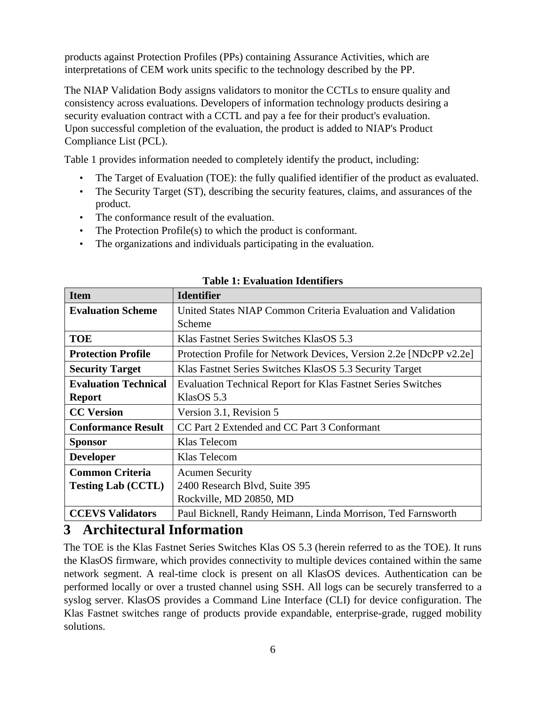products against Protection Profiles (PPs) containing Assurance Activities, which are interpretations of CEM work units specific to the technology described by the PP.

The NIAP Validation Body assigns validators to monitor the CCTLs to ensure quality and consistency across evaluations. Developers of information technology products desiring a security evaluation contract with a CCTL and pay a fee for their product's evaluation. Upon successful completion of the evaluation, the product is added to NIAP's Product Compliance List (PCL).

Table 1 provides information needed to completely identify the product, including:

- The Target of Evaluation (TOE): the fully qualified identifier of the product as evaluated.
- The Security Target (ST), describing the security features, claims, and assurances of the product.
- The conformance result of the evaluation.
- The Protection Profile(s) to which the product is conformant.
- The organizations and individuals participating in the evaluation.

| <b>Item</b>                 | <b>Identifier</b>                                                   |
|-----------------------------|---------------------------------------------------------------------|
| <b>Evaluation Scheme</b>    | United States NIAP Common Criteria Evaluation and Validation        |
|                             | Scheme                                                              |
| <b>TOE</b>                  | Klas Fastnet Series Switches KlasOS 5.3                             |
| <b>Protection Profile</b>   | Protection Profile for Network Devices, Version 2.2e [NDcPP v2.2e]  |
| <b>Security Target</b>      | Klas Fastnet Series Switches KlasOS 5.3 Security Target             |
| <b>Evaluation Technical</b> | <b>Evaluation Technical Report for Klas Fastnet Series Switches</b> |
| <b>Report</b>               | KlasOS 5.3                                                          |
| <b>CC Version</b>           | Version 3.1, Revision 5                                             |
| <b>Conformance Result</b>   | CC Part 2 Extended and CC Part 3 Conformant                         |
| <b>Sponsor</b>              | Klas Telecom                                                        |
| <b>Developer</b>            | Klas Telecom                                                        |
| <b>Common Criteria</b>      | <b>Acumen Security</b>                                              |
| <b>Testing Lab (CCTL)</b>   | 2400 Research Blvd, Suite 395                                       |
|                             | Rockville, MD 20850, MD                                             |
| <b>CCEVS Validators</b>     | Paul Bicknell, Randy Heimann, Linda Morrison, Ted Farnsworth        |

#### **Table 1: Evaluation Identifiers**

### <span id="page-5-0"></span>**3 Architectural Information**

The TOE is the Klas Fastnet Series Switches Klas OS 5.3 (herein referred to as the TOE). It runs the KlasOS firmware, which provides connectivity to multiple devices contained within the same network segment. A real-time clock is present on all KlasOS devices. Authentication can be performed locally or over a trusted channel using SSH. All logs can be securely transferred to a syslog server. KlasOS provides a Command Line Interface (CLI) for device configuration. The Klas Fastnet switches range of products provide expandable, enterprise-grade, rugged mobility solutions.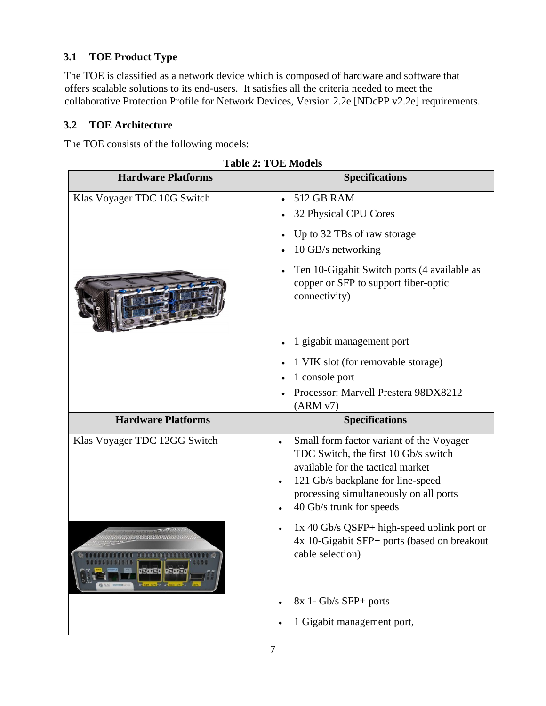### <span id="page-6-0"></span>**3.1 TOE Product Type**

The TOE is classified as a network device which is composed of hardware and software that offers scalable solutions to its end-users. It satisfies all the criteria needed to meet the collaborative Protection Profile for Network Devices, Version 2.2e [NDcPP v2.2e] requirements.

### <span id="page-6-1"></span>**3.2 TOE Architecture**

The TOE consists of the following models:

| <b>Hardware Platforms</b>    | <b>Specifications</b>                                                                                                                                                                                                            |
|------------------------------|----------------------------------------------------------------------------------------------------------------------------------------------------------------------------------------------------------------------------------|
| Klas Voyager TDC 10G Switch  | <b>512 GB RAM</b><br>32 Physical CPU Cores                                                                                                                                                                                       |
|                              | Up to 32 TBs of raw storage<br>10 GB/s networking                                                                                                                                                                                |
|                              | Ten 10-Gigabit Switch ports (4 available as<br>copper or SFP to support fiber-optic<br>connectivity)                                                                                                                             |
|                              | 1 gigabit management port                                                                                                                                                                                                        |
|                              | 1 VIK slot (for removable storage)<br>1 console port<br>Processor: Marvell Prestera 98DX8212<br>(ARMV7)                                                                                                                          |
| <b>Hardware Platforms</b>    | <b>Specifications</b>                                                                                                                                                                                                            |
| Klas Voyager TDC 12GG Switch | Small form factor variant of the Voyager<br>TDC Switch, the first 10 Gb/s switch<br>available for the tactical market<br>121 Gb/s backplane for line-speed<br>processing simultaneously on all ports<br>40 Gb/s trunk for speeds |
|                              | 1x 40 Gb/s QSFP+ high-speed uplink port or<br>4x 10-Gigabit SFP+ ports (based on breakout<br>cable selection)                                                                                                                    |
|                              | 8x 1- Gb/s SFP+ ports<br>1 Gigabit management port,                                                                                                                                                                              |
|                              |                                                                                                                                                                                                                                  |

**Table 2: TOE Models**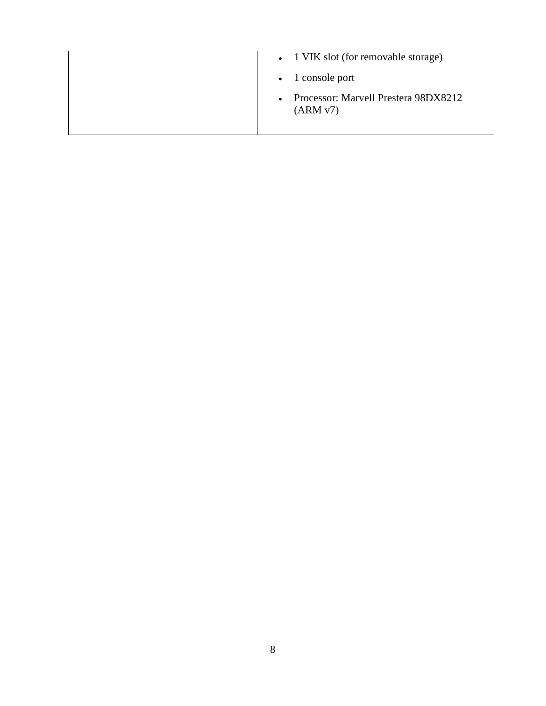| • 1 VIK slot (for removable storage)                         |
|--------------------------------------------------------------|
| $\bullet$ 1 console port                                     |
| Processor: Marvell Prestera 98DX8212<br>$\bullet$<br>(ARMV7) |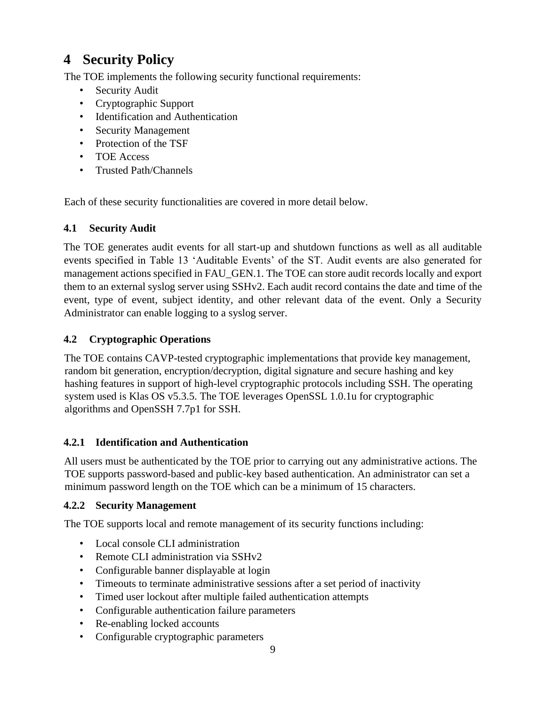# <span id="page-8-0"></span>**4 Security Policy**

The TOE implements the following security functional requirements:

- Security Audit
- Cryptographic Support
- Identification and Authentication
- Security Management
- Protection of the TSF
- TOE Access
- Trusted Path/Channels

Each of these security functionalities are covered in more detail below.

#### <span id="page-8-1"></span>**4.1 Security Audit**

The TOE generates audit events for all start-up and shutdown functions as well as all auditable events specified in Table 13 'Auditable Events' of the ST. Audit events are also generated for management actions specified in FAU\_GEN.1. The TOE can store audit records locally and export them to an external syslog server using SSHv2. Each audit record contains the date and time of the event, type of event, subject identity, and other relevant data of the event. Only a Security Administrator can enable logging to a syslog server.

#### <span id="page-8-2"></span>**4.2 Cryptographic Operations**

The TOE contains CAVP-tested cryptographic implementations that provide key management, random bit generation, encryption/decryption, digital signature and secure hashing and key hashing features in support of high-level cryptographic protocols including SSH. The operating system used is Klas OS v5.3.5. The TOE leverages OpenSSL 1.0.1u for cryptographic algorithms and OpenSSH 7.7p1 for SSH.

#### <span id="page-8-3"></span>**4.2.1 Identification and Authentication**

All users must be authenticated by the TOE prior to carrying out any administrative actions. The TOE supports password-based and public-key based authentication. An administrator can set a minimum password length on the TOE which can be a minimum of 15 characters.

#### <span id="page-8-4"></span>**4.2.2 Security Management**

The TOE supports local and remote management of its security functions including:

- Local console CLI administration
- Remote CLI administration via SSHv2
- Configurable banner displayable at login
- Timeouts to terminate administrative sessions after a set period of inactivity
- Timed user lockout after multiple failed authentication attempts
- Configurable authentication failure parameters
- Re-enabling locked accounts
- Configurable cryptographic parameters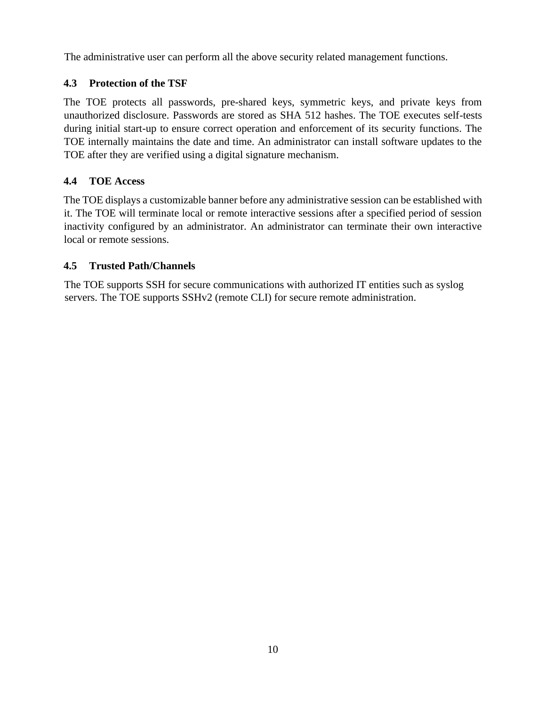The administrative user can perform all the above security related management functions.

### <span id="page-9-0"></span>**4.3 Protection of the TSF**

The TOE protects all passwords, pre-shared keys, symmetric keys, and private keys from unauthorized disclosure. Passwords are stored as SHA 512 hashes. The TOE executes self-tests during initial start-up to ensure correct operation and enforcement of its security functions. The TOE internally maintains the date and time. An administrator can install software updates to the TOE after they are verified using a digital signature mechanism.

### <span id="page-9-1"></span>**4.4 TOE Access**

The TOE displays a customizable banner before any administrative session can be established with it. The TOE will terminate local or remote interactive sessions after a specified period of session inactivity configured by an administrator. An administrator can terminate their own interactive local or remote sessions.

### <span id="page-9-2"></span>**4.5 Trusted Path/Channels**

The TOE supports SSH for secure communications with authorized IT entities such as syslog servers. The TOE supports SSHv2 (remote CLI) for secure remote administration.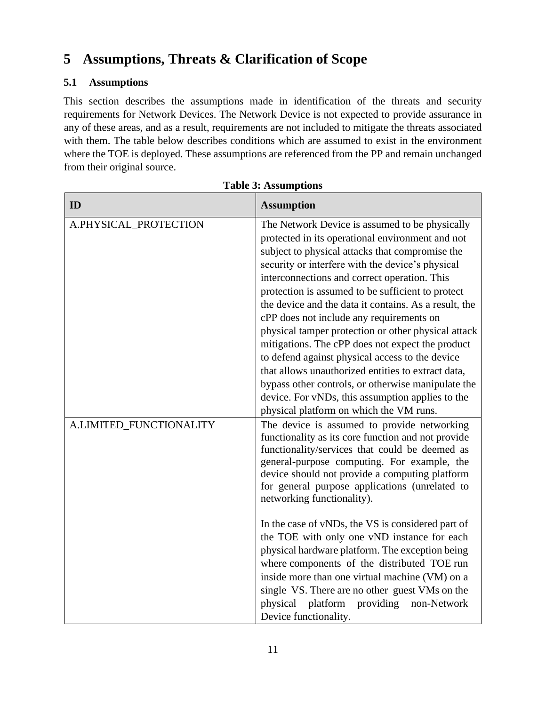## <span id="page-10-0"></span>**5 Assumptions, Threats & Clarification of Scope**

### <span id="page-10-1"></span>**5.1 Assumptions**

This section describes the assumptions made in identification of the threats and security requirements for Network Devices. The Network Device is not expected to provide assurance in any of these areas, and as a result, requirements are not included to mitigate the threats associated with them. The table below describes conditions which are assumed to exist in the environment where the TOE is deployed. These assumptions are referenced from the PP and remain unchanged from their original source.

| ID                      | <b>Assumption</b>                                                                                                                                                                                                                                                                                                                                                                                                                                                                                                                                                                                                                                                                                                                                                                            |
|-------------------------|----------------------------------------------------------------------------------------------------------------------------------------------------------------------------------------------------------------------------------------------------------------------------------------------------------------------------------------------------------------------------------------------------------------------------------------------------------------------------------------------------------------------------------------------------------------------------------------------------------------------------------------------------------------------------------------------------------------------------------------------------------------------------------------------|
| A.PHYSICAL_PROTECTION   | The Network Device is assumed to be physically<br>protected in its operational environment and not<br>subject to physical attacks that compromise the<br>security or interfere with the device's physical<br>interconnections and correct operation. This<br>protection is assumed to be sufficient to protect<br>the device and the data it contains. As a result, the<br>cPP does not include any requirements on<br>physical tamper protection or other physical attack<br>mitigations. The cPP does not expect the product<br>to defend against physical access to the device<br>that allows unauthorized entities to extract data,<br>bypass other controls, or otherwise manipulate the<br>device. For vNDs, this assumption applies to the<br>physical platform on which the VM runs. |
| A.LIMITED_FUNCTIONALITY | The device is assumed to provide networking<br>functionality as its core function and not provide<br>functionality/services that could be deemed as<br>general-purpose computing. For example, the<br>device should not provide a computing platform<br>for general purpose applications (unrelated to<br>networking functionality).<br>In the case of vNDs, the VS is considered part of<br>the TOE with only one vND instance for each<br>physical hardware platform. The exception being<br>where components of the distributed TOE run<br>inside more than one virtual machine (VM) on a<br>single VS. There are no other guest VMs on the<br>providing<br>physical platform<br>non-Network<br>Device functionality.                                                                     |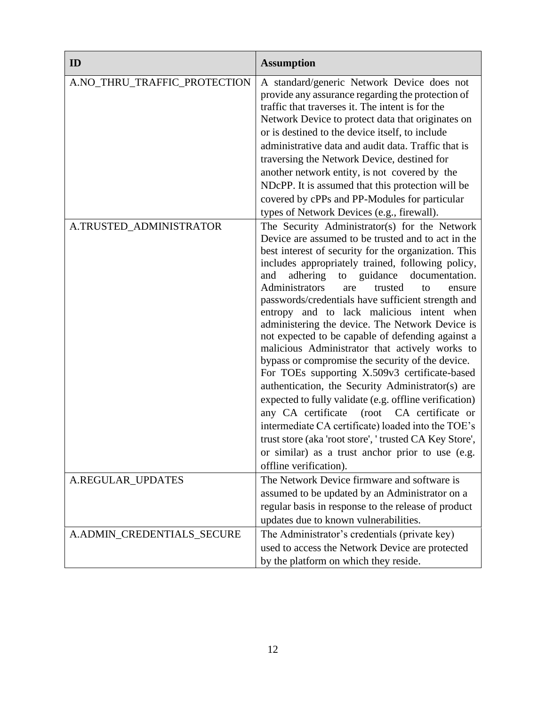| ID                           | <b>Assumption</b>                                                                                                                                                                                                                                                                                                                                                                                                                                                                                                                                                                                                                                                                                                                                                                                                                                                                                                                                                                                                                                   |
|------------------------------|-----------------------------------------------------------------------------------------------------------------------------------------------------------------------------------------------------------------------------------------------------------------------------------------------------------------------------------------------------------------------------------------------------------------------------------------------------------------------------------------------------------------------------------------------------------------------------------------------------------------------------------------------------------------------------------------------------------------------------------------------------------------------------------------------------------------------------------------------------------------------------------------------------------------------------------------------------------------------------------------------------------------------------------------------------|
| A.NO_THRU_TRAFFIC_PROTECTION | A standard/generic Network Device does not<br>provide any assurance regarding the protection of<br>traffic that traverses it. The intent is for the<br>Network Device to protect data that originates on<br>or is destined to the device itself, to include<br>administrative data and audit data. Traffic that is<br>traversing the Network Device, destined for<br>another network entity, is not covered by the<br>NDcPP. It is assumed that this protection will be<br>covered by cPPs and PP-Modules for particular<br>types of Network Devices (e.g., firewall).                                                                                                                                                                                                                                                                                                                                                                                                                                                                              |
| A.TRUSTED_ADMINISTRATOR      | The Security Administrator(s) for the Network<br>Device are assumed to be trusted and to act in the<br>best interest of security for the organization. This<br>includes appropriately trained, following policy,<br>adhering to guidance<br>documentation.<br>and<br>Administrators<br>trusted<br>are<br>to<br>ensure<br>passwords/credentials have sufficient strength and<br>entropy and to lack malicious intent when<br>administering the device. The Network Device is<br>not expected to be capable of defending against a<br>malicious Administrator that actively works to<br>bypass or compromise the security of the device.<br>For TOEs supporting X.509v3 certificate-based<br>authentication, the Security Administrator(s) are<br>expected to fully validate (e.g. offline verification)<br>any CA certificate (root CA certificate or<br>intermediate CA certificate) loaded into the TOE's<br>trust store (aka 'root store', ' trusted CA Key Store',<br>or similar) as a trust anchor prior to use (e.g.<br>offline verification). |
| A.REGULAR_UPDATES            | The Network Device firmware and software is<br>assumed to be updated by an Administrator on a<br>regular basis in response to the release of product<br>updates due to known vulnerabilities.                                                                                                                                                                                                                                                                                                                                                                                                                                                                                                                                                                                                                                                                                                                                                                                                                                                       |
| A.ADMIN_CREDENTIALS_SECURE   | The Administrator's credentials (private key)<br>used to access the Network Device are protected<br>by the platform on which they reside.                                                                                                                                                                                                                                                                                                                                                                                                                                                                                                                                                                                                                                                                                                                                                                                                                                                                                                           |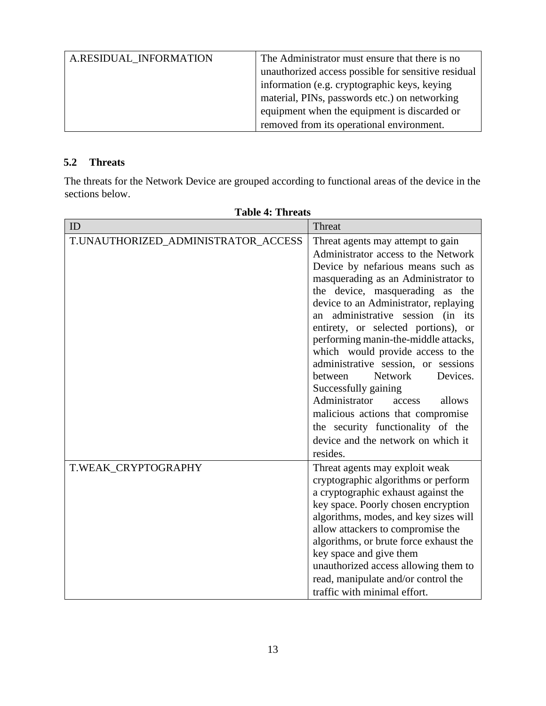| A.RESIDUAL INFORMATION | The Administrator must ensure that there is no      |
|------------------------|-----------------------------------------------------|
|                        | unauthorized access possible for sensitive residual |
|                        | information (e.g. cryptographic keys, keying        |
|                        | material, PINs, passwords etc.) on networking       |
|                        | equipment when the equipment is discarded or        |
|                        | removed from its operational environment.           |

#### <span id="page-12-0"></span>**5.2 Threats**

The threats for the Network Device are grouped according to functional areas of the device in the sections below.

| ID                                  | Threat                                 |
|-------------------------------------|----------------------------------------|
| T.UNAUTHORIZED_ADMINISTRATOR_ACCESS | Threat agents may attempt to gain      |
|                                     | Administrator access to the Network    |
|                                     | Device by nefarious means such as      |
|                                     |                                        |
|                                     | masquerading as an Administrator to    |
|                                     | the device, masquerading as the        |
|                                     | device to an Administrator, replaying  |
|                                     | an administrative session (in its      |
|                                     | entirety, or selected portions), or    |
|                                     | performing manin-the-middle attacks,   |
|                                     | which would provide access to the      |
|                                     | administrative session, or sessions    |
|                                     | Network<br>Devices.<br>between         |
|                                     | Successfully gaining                   |
|                                     | Administrator<br>allows<br>access      |
|                                     | malicious actions that compromise      |
|                                     | the security functionality of the      |
|                                     | device and the network on which it     |
|                                     | resides.                               |
|                                     |                                        |
| T.WEAK_CRYPTOGRAPHY                 | Threat agents may exploit weak         |
|                                     | cryptographic algorithms or perform    |
|                                     | a cryptographic exhaust against the    |
|                                     | key space. Poorly chosen encryption    |
|                                     | algorithms, modes, and key sizes will  |
|                                     | allow attackers to compromise the      |
|                                     | algorithms, or brute force exhaust the |
|                                     | key space and give them                |
|                                     | unauthorized access allowing them to   |
|                                     | read, manipulate and/or control the    |
|                                     | traffic with minimal effort.           |

#### **Table 4: Threats**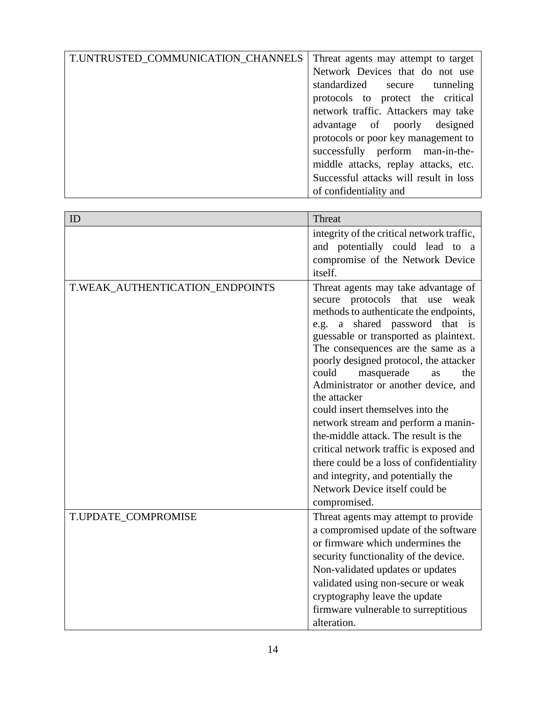| T.UNTRUSTED_COMMUNICATION_CHANNELS | Threat agents may attempt to target    |
|------------------------------------|----------------------------------------|
|                                    | Network Devices that do not use        |
|                                    | standardized secure tunneling          |
|                                    | protocols to protect the critical      |
|                                    | network traffic. Attackers may take    |
|                                    | advantage of poorly designed           |
|                                    | protocols or poor key management to    |
|                                    | successfully perform man-in-the-       |
|                                    | middle attacks, replay attacks, etc.   |
|                                    | Successful attacks will result in loss |
|                                    | of confidentiality and                 |

| ID                              | Threat                                                                                                                                                                                                                                                                                                                                                                                                                                                                                                                                                                                                                           |
|---------------------------------|----------------------------------------------------------------------------------------------------------------------------------------------------------------------------------------------------------------------------------------------------------------------------------------------------------------------------------------------------------------------------------------------------------------------------------------------------------------------------------------------------------------------------------------------------------------------------------------------------------------------------------|
|                                 | integrity of the critical network traffic,                                                                                                                                                                                                                                                                                                                                                                                                                                                                                                                                                                                       |
|                                 | and potentially could lead to a                                                                                                                                                                                                                                                                                                                                                                                                                                                                                                                                                                                                  |
|                                 | compromise of the Network Device                                                                                                                                                                                                                                                                                                                                                                                                                                                                                                                                                                                                 |
|                                 | itself.                                                                                                                                                                                                                                                                                                                                                                                                                                                                                                                                                                                                                          |
| T.WEAK_AUTHENTICATION_ENDPOINTS | Threat agents may take advantage of<br>secure protocols that use<br>weak<br>methods to authenticate the endpoints,<br>shared password that is<br>a<br>e.g.<br>guessable or transported as plaintext.<br>The consequences are the same as a<br>poorly designed protocol, the attacker<br>could<br>masquerade<br>the<br>as<br>Administrator or another device, and<br>the attacker<br>could insert themselves into the<br>network stream and perform a manin-<br>the-middle attack. The result is the<br>critical network traffic is exposed and<br>there could be a loss of confidentiality<br>and integrity, and potentially the |
|                                 | Network Device itself could be                                                                                                                                                                                                                                                                                                                                                                                                                                                                                                                                                                                                   |
|                                 | compromised.                                                                                                                                                                                                                                                                                                                                                                                                                                                                                                                                                                                                                     |
| T.UPDATE_COMPROMISE             | Threat agents may attempt to provide<br>a compromised update of the software<br>or firmware which undermines the<br>security functionality of the device.<br>Non-validated updates or updates<br>validated using non-secure or weak<br>cryptography leave the update<br>firmware vulnerable to surreptitious<br>alteration.                                                                                                                                                                                                                                                                                                      |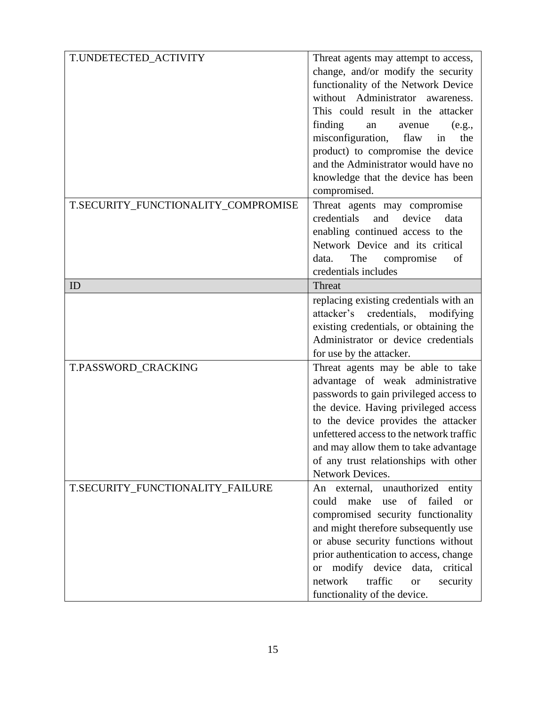| T.UNDETECTED_ACTIVITY               |                                                 |
|-------------------------------------|-------------------------------------------------|
|                                     | Threat agents may attempt to access,            |
|                                     | change, and/or modify the security              |
|                                     | functionality of the Network Device             |
|                                     | without Administrator awareness.                |
|                                     | This could result in the attacker               |
|                                     | finding<br>avenue<br>an<br>(e.g.,               |
|                                     | misconfiguration, flaw in<br>the                |
|                                     | product) to compromise the device               |
|                                     | and the Administrator would have no             |
|                                     | knowledge that the device has been              |
|                                     | compromised.                                    |
|                                     |                                                 |
| T.SECURITY_FUNCTIONALITY_COMPROMISE | Threat agents may compromise                    |
|                                     | credentials<br>and device<br>data               |
|                                     | enabling continued access to the                |
|                                     | Network Device and its critical                 |
|                                     | The compromise<br>of<br>data.                   |
|                                     | credentials includes                            |
| ID                                  | Threat                                          |
|                                     | replacing existing credentials with an          |
|                                     | attacker's credentials, modifying               |
|                                     | existing credentials, or obtaining the          |
|                                     | Administrator or device credentials             |
|                                     | for use by the attacker.                        |
| T.PASSWORD_CRACKING                 | Threat agents may be able to take               |
|                                     | advantage of weak administrative                |
|                                     |                                                 |
|                                     | passwords to gain privileged access to          |
|                                     | the device. Having privileged access            |
|                                     | to the device provides the attacker             |
|                                     | unfettered access to the network traffic        |
|                                     | and may allow them to take advantage            |
|                                     | of any trust relationships with other           |
|                                     | Network Devices.                                |
| T.SECURITY_FUNCTIONALITY_FAILURE    | An external, unauthorized entity                |
|                                     | use of failed<br>could<br>make<br><sub>or</sub> |
|                                     | compromised security functionality              |
|                                     | and might therefore subsequently use            |
|                                     | or abuse security functions without             |
|                                     | prior authentication to access, change          |
|                                     | modify device<br>critical<br>data,<br><b>or</b> |
|                                     | traffic<br>network<br>security<br><b>or</b>     |
|                                     | functionality of the device.                    |
|                                     |                                                 |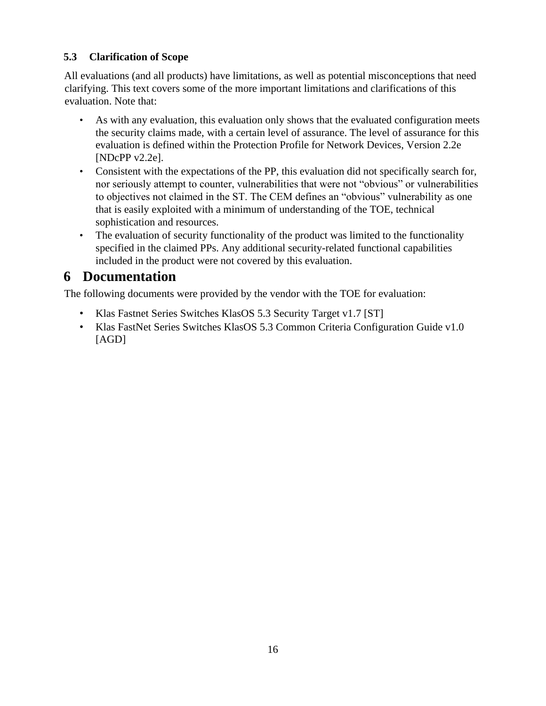### <span id="page-15-0"></span>**5.3 Clarification of Scope**

All evaluations (and all products) have limitations, as well as potential misconceptions that need clarifying. This text covers some of the more important limitations and clarifications of this evaluation. Note that:

- As with any evaluation, this evaluation only shows that the evaluated configuration meets the security claims made, with a certain level of assurance. The level of assurance for this evaluation is defined within the Protection Profile for Network Devices, Version 2.2e [NDcPP v2.2e].
- Consistent with the expectations of the PP, this evaluation did not specifically search for, nor seriously attempt to counter, vulnerabilities that were not "obvious" or vulnerabilities to objectives not claimed in the ST. The CEM defines an "obvious" vulnerability as one that is easily exploited with a minimum of understanding of the TOE, technical sophistication and resources.
- The evaluation of security functionality of the product was limited to the functionality specified in the claimed PPs. Any additional security-related functional capabilities included in the product were not covered by this evaluation.

## <span id="page-15-1"></span>**6 Documentation**

The following documents were provided by the vendor with the TOE for evaluation:

- Klas Fastnet Series Switches KlasOS 5.3 Security Target v1.7 [ST]
- Klas FastNet Series Switches KlasOS 5.3 Common Criteria Configuration Guide v1.0 [AGD]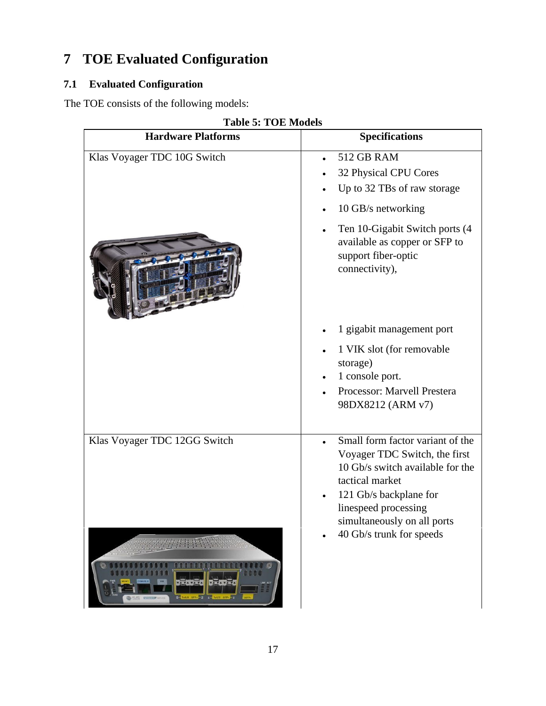# <span id="page-16-0"></span>**7 TOE Evaluated Configuration**

### <span id="page-16-1"></span>**7.1 Evaluated Configuration**

The TOE consists of the following models:

| <b>Hardware Platforms</b>    | <b>Specifications</b>                                                                                                             |
|------------------------------|-----------------------------------------------------------------------------------------------------------------------------------|
| Klas Voyager TDC 10G Switch  | <b>512 GB RAM</b><br>32 Physical CPU Cores<br>Up to 32 TBs of raw storage<br>10 GB/s networking<br>Ten 10-Gigabit Switch ports (4 |
|                              | available as copper or SFP to<br>support fiber-optic<br>connectivity),                                                            |
|                              | 1 gigabit management port                                                                                                         |
|                              | 1 VIK slot (for removable<br>storage)                                                                                             |
|                              | 1 console port.<br>Processor: Marvell Prestera                                                                                    |
|                              | 98DX8212 (ARM v7)                                                                                                                 |
| Klas Voyager TDC 12GG Switch | Small form factor variant of the<br>Voyager TDC Switch, the first<br>10 Gb/s switch available for the                             |
|                              | tactical market<br>121 Gb/s backplane for                                                                                         |
|                              | linespeed processing<br>simultaneously on all ports                                                                               |
|                              | 40 Gb/s trunk for speeds                                                                                                          |
|                              |                                                                                                                                   |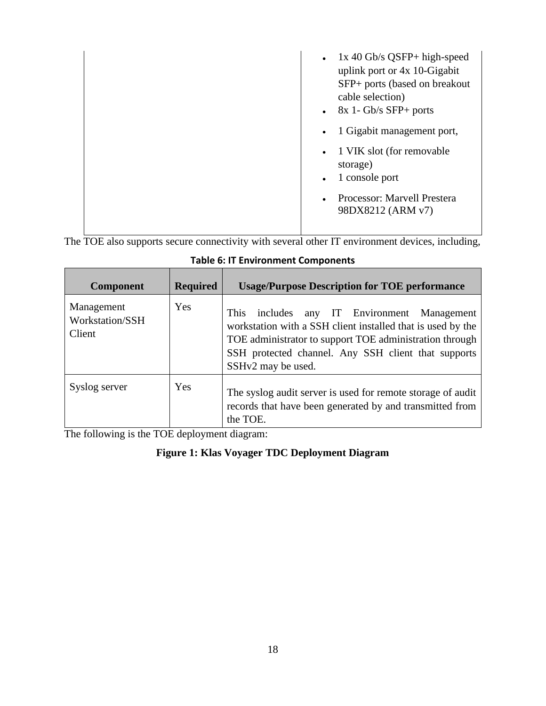| $1x$ 40 Gb/s QSFP+ high-speed<br>$\bullet$<br>uplink port or 4x 10-Gigabit<br>SFP+ ports (based on breakout<br>cable selection)<br>$\bullet$ 8x 1- Gb/s SFP+ ports<br>1 Gigabit management port,<br>$\bullet$ |
|---------------------------------------------------------------------------------------------------------------------------------------------------------------------------------------------------------------|
| 1 VIK slot (for removable<br>$\bullet$<br>storage)<br>1 console port<br>$\bullet$<br>Processor: Marvell Prestera<br>$\bullet$<br>98DX8212 (ARM v7)                                                            |

The TOE also supports secure connectivity with several other IT environment devices, including,

| <b>Component</b>                        | <b>Required</b> | <b>Usage/Purpose Description for TOE performance</b>                                                                                                                                                                                                  |
|-----------------------------------------|-----------------|-------------------------------------------------------------------------------------------------------------------------------------------------------------------------------------------------------------------------------------------------------|
| Management<br>Workstation/SSH<br>Client | Yes             | includes any IT Environment Management<br>This<br>workstation with a SSH client installed that is used by the<br>TOE administrator to support TOE administration through<br>SSH protected channel. Any SSH client that supports<br>SSHv2 may be used. |
| Syslog server                           | Yes             | The syslog audit server is used for remote storage of audit<br>records that have been generated by and transmitted from<br>the TOE.                                                                                                                   |

### **Table 6: IT Environment Components**

The following is the TOE deployment diagram:

#### **Figure 1: Klas Voyager TDC Deployment Diagram**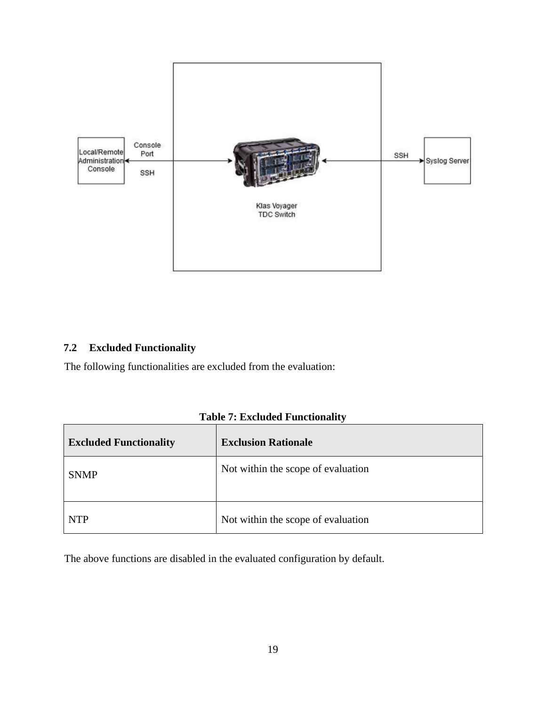

#### <span id="page-18-0"></span>**7.2 Excluded Functionality**

The following functionalities are excluded from the evaluation:

| <b>Excluded Functionality</b> | <b>Exclusion Rationale</b>         |
|-------------------------------|------------------------------------|
| <b>SNMP</b>                   | Not within the scope of evaluation |
| <b>NTP</b>                    | Not within the scope of evaluation |

**Table 7: Excluded Functionality** 

The above functions are disabled in the evaluated configuration by default.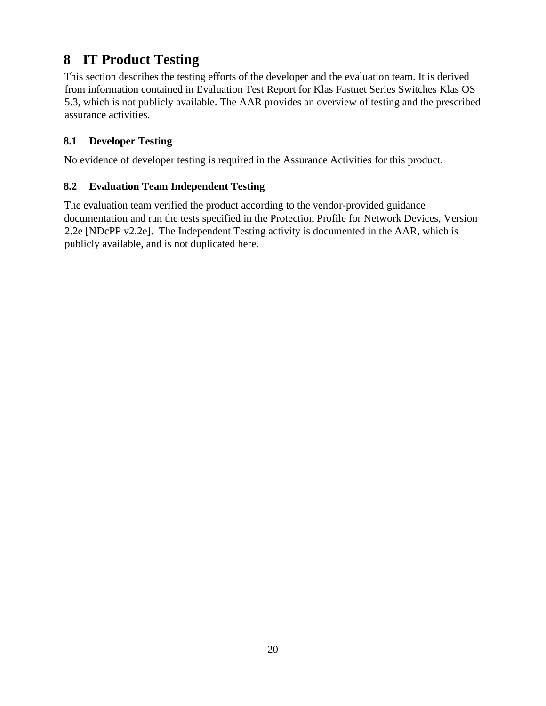# <span id="page-19-0"></span>**8 IT Product Testing**

This section describes the testing efforts of the developer and the evaluation team. It is derived from information contained in Evaluation Test Report for Klas Fastnet Series Switches Klas OS 5.3, which is not publicly available. The AAR provides an overview of testing and the prescribed assurance activities.

### <span id="page-19-1"></span>**8.1 Developer Testing**

No evidence of developer testing is required in the Assurance Activities for this product.

### <span id="page-19-2"></span>**8.2 Evaluation Team Independent Testing**

The evaluation team verified the product according to the vendor-provided guidance documentation and ran the tests specified in the Protection Profile for Network Devices, Version 2.2e [NDcPP v2.2e]. The Independent Testing activity is documented in the AAR, which is publicly available, and is not duplicated here.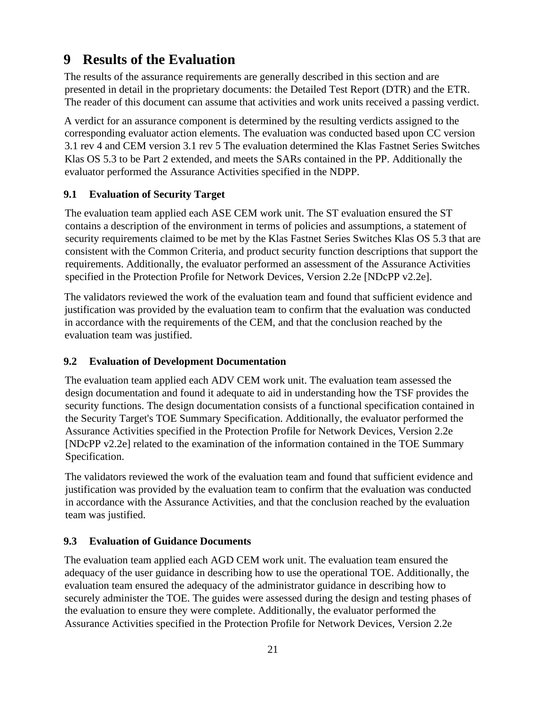## <span id="page-20-0"></span>**9 Results of the Evaluation**

The results of the assurance requirements are generally described in this section and are presented in detail in the proprietary documents: the Detailed Test Report (DTR) and the ETR. The reader of this document can assume that activities and work units received a passing verdict.

A verdict for an assurance component is determined by the resulting verdicts assigned to the corresponding evaluator action elements. The evaluation was conducted based upon CC version 3.1 rev 4 and CEM version 3.1 rev 5 The evaluation determined the Klas Fastnet Series Switches Klas OS 5.3 to be Part 2 extended, and meets the SARs contained in the PP. Additionally the evaluator performed the Assurance Activities specified in the NDPP.

### <span id="page-20-1"></span>**9.1 Evaluation of Security Target**

The evaluation team applied each ASE CEM work unit. The ST evaluation ensured the ST contains a description of the environment in terms of policies and assumptions, a statement of security requirements claimed to be met by the Klas Fastnet Series Switches Klas OS 5.3 that are consistent with the Common Criteria, and product security function descriptions that support the requirements. Additionally, the evaluator performed an assessment of the Assurance Activities specified in the Protection Profile for Network Devices, Version 2.2e [NDcPP v2.2e].

The validators reviewed the work of the evaluation team and found that sufficient evidence and justification was provided by the evaluation team to confirm that the evaluation was conducted in accordance with the requirements of the CEM, and that the conclusion reached by the evaluation team was justified.

### <span id="page-20-2"></span>**9.2 Evaluation of Development Documentation**

The evaluation team applied each ADV CEM work unit. The evaluation team assessed the design documentation and found it adequate to aid in understanding how the TSF provides the security functions. The design documentation consists of a functional specification contained in the Security Target's TOE Summary Specification. Additionally, the evaluator performed the Assurance Activities specified in the Protection Profile for Network Devices, Version 2.2e [NDcPP v2.2e] related to the examination of the information contained in the TOE Summary Specification.

The validators reviewed the work of the evaluation team and found that sufficient evidence and justification was provided by the evaluation team to confirm that the evaluation was conducted in accordance with the Assurance Activities, and that the conclusion reached by the evaluation team was justified.

### <span id="page-20-3"></span>**9.3 Evaluation of Guidance Documents**

The evaluation team applied each AGD CEM work unit. The evaluation team ensured the adequacy of the user guidance in describing how to use the operational TOE. Additionally, the evaluation team ensured the adequacy of the administrator guidance in describing how to securely administer the TOE. The guides were assessed during the design and testing phases of the evaluation to ensure they were complete. Additionally, the evaluator performed the Assurance Activities specified in the Protection Profile for Network Devices, Version 2.2e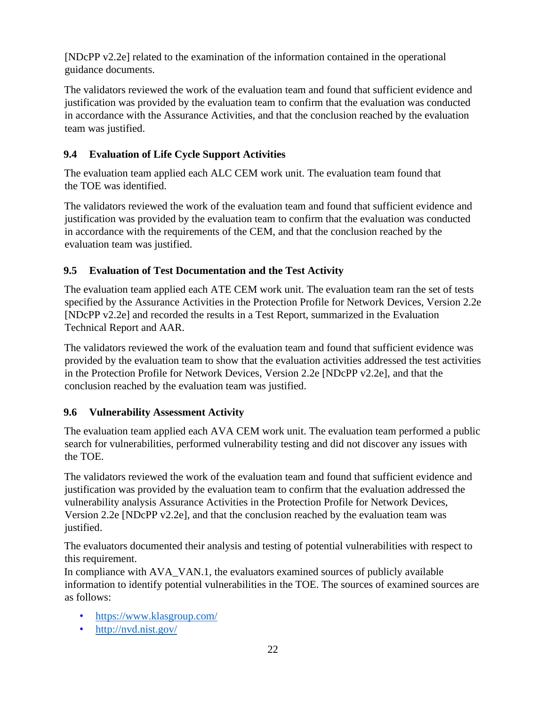[NDcPP v2.2e] related to the examination of the information contained in the operational guidance documents.

The validators reviewed the work of the evaluation team and found that sufficient evidence and justification was provided by the evaluation team to confirm that the evaluation was conducted in accordance with the Assurance Activities, and that the conclusion reached by the evaluation team was justified.

### <span id="page-21-0"></span>**9.4 Evaluation of Life Cycle Support Activities**

The evaluation team applied each ALC CEM work unit. The evaluation team found that the TOE was identified.

The validators reviewed the work of the evaluation team and found that sufficient evidence and justification was provided by the evaluation team to confirm that the evaluation was conducted in accordance with the requirements of the CEM, and that the conclusion reached by the evaluation team was justified.

#### <span id="page-21-1"></span>**9.5 Evaluation of Test Documentation and the Test Activity**

The evaluation team applied each ATE CEM work unit. The evaluation team ran the set of tests specified by the Assurance Activities in the Protection Profile for Network Devices, Version 2.2e [NDcPP v2.2e] and recorded the results in a Test Report, summarized in the Evaluation Technical Report and AAR.

The validators reviewed the work of the evaluation team and found that sufficient evidence was provided by the evaluation team to show that the evaluation activities addressed the test activities in the Protection Profile for Network Devices, Version 2.2e [NDcPP v2.2e], and that the conclusion reached by the evaluation team was justified.

#### <span id="page-21-2"></span>**9.6 Vulnerability Assessment Activity**

The evaluation team applied each AVA CEM work unit. The evaluation team performed a public search for vulnerabilities, performed vulnerability testing and did not discover any issues with the TOE.

The validators reviewed the work of the evaluation team and found that sufficient evidence and justification was provided by the evaluation team to confirm that the evaluation addressed the vulnerability analysis Assurance Activities in the Protection Profile for Network Devices, Version 2.2e [NDcPP v2.2e], and that the conclusion reached by the evaluation team was justified.

The evaluators documented their analysis and testing of potential vulnerabilities with respect to this requirement.

In compliance with AVA\_VAN.1, the evaluators examined sources of publicly available information to identify potential vulnerabilities in the TOE. The sources of examined sources are as follows:

- <https://www.klasgroup.com/>
- <http://nvd.nist.gov/>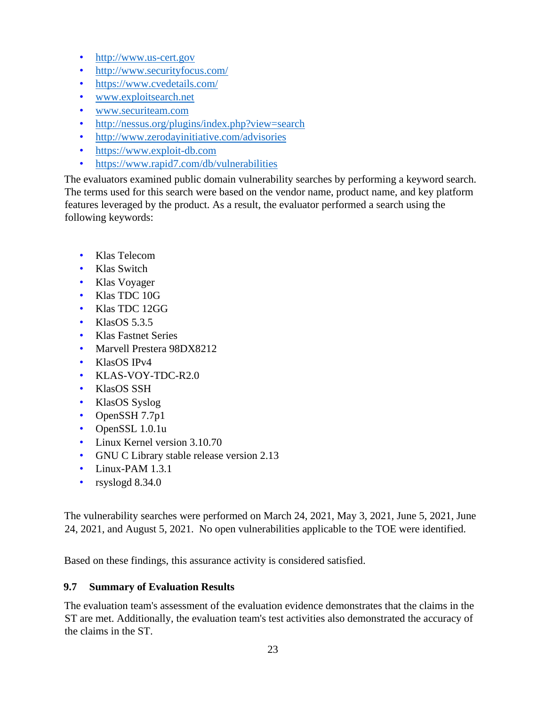- [http://www.us-cert.gov](http://www.us-cert.gov/)
- <http://www.securityfocus.com/>
- <https://www.cvedetails.com/>
- [www.exploitsearch.net](http://www.exploitsearch.net/)
- [www.securiteam.com](http://www.securiteam.com/)
- <http://nessus.org/plugins/index.php?view=search>
- <http://www.zerodayinitiative.com/advisories>
- [https://www.exploit-db.com](https://www.exploit-db.com/)
- https://www.rapid7.com/db/vulnerabilities

The evaluators examined public domain vulnerability searches by performing a keyword search. The terms used for this search were based on the vendor name, product name, and key platform features leveraged by the product. As a result, the evaluator performed a search using the following keywords:

- Klas Telecom
- Klas Switch
- Klas Voyager
- Klas TDC 10G
- Klas TDC 12GG
- KlasOS  $5.3.5$
- Klas Fastnet Series
- Marvell Prestera 98DX8212
- KlasOS IPv4
- KLAS-VOY-TDC-R2.0
- KlasOS SSH
- KlasOS Syslog
- OpenSSH 7.7p1
- OpenSSL 1.0.1u
- Linux Kernel version 3.10.70
- GNU C Library stable release version 2.13
- Linux-PAM 1.3.1
- rsyslogd 8.34.0

The vulnerability searches were performed on March 24, 2021, May 3, 2021, June 5, 2021, June 24, 2021, and August 5, 2021. No open vulnerabilities applicable to the TOE were identified.

Based on these findings, this assurance activity is considered satisfied.

#### <span id="page-22-0"></span>**9.7 Summary of Evaluation Results**

The evaluation team's assessment of the evaluation evidence demonstrates that the claims in the ST are met. Additionally, the evaluation team's test activities also demonstrated the accuracy of the claims in the ST.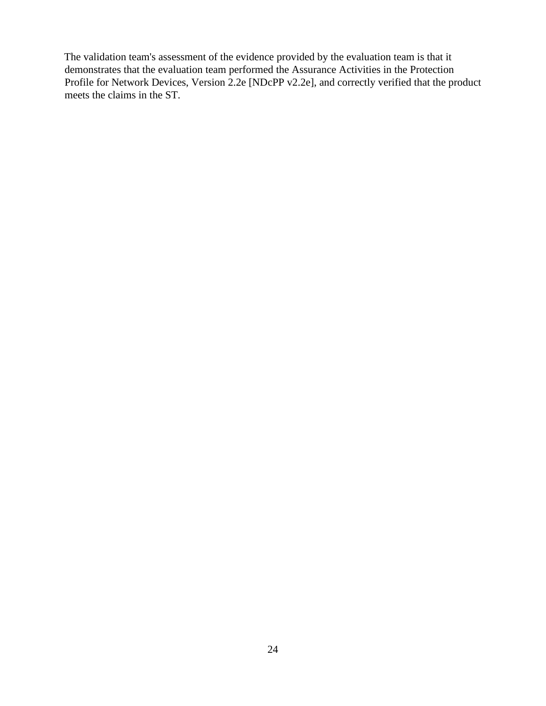The validation team's assessment of the evidence provided by the evaluation team is that it demonstrates that the evaluation team performed the Assurance Activities in the Protection Profile for Network Devices, Version 2.2e [NDcPP v2.2e], and correctly verified that the product meets the claims in the ST.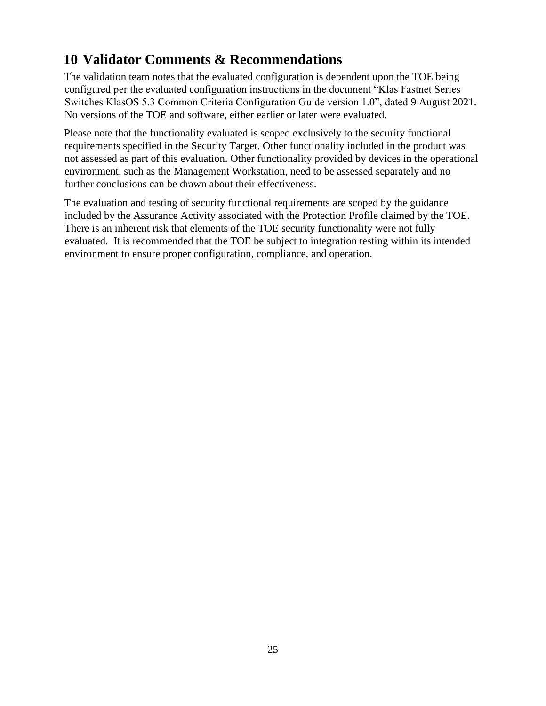# <span id="page-24-0"></span>**10 Validator Comments & Recommendations**

The validation team notes that the evaluated configuration is dependent upon the TOE being configured per the evaluated configuration instructions in the document "Klas Fastnet Series Switches KlasOS 5.3 Common Criteria Configuration Guide version 1.0", dated 9 August 2021. No versions of the TOE and software, either earlier or later were evaluated.

Please note that the functionality evaluated is scoped exclusively to the security functional requirements specified in the Security Target. Other functionality included in the product was not assessed as part of this evaluation. Other functionality provided by devices in the operational environment, such as the Management Workstation, need to be assessed separately and no further conclusions can be drawn about their effectiveness.

The evaluation and testing of security functional requirements are scoped by the guidance included by the Assurance Activity associated with the Protection Profile claimed by the TOE. There is an inherent risk that elements of the TOE security functionality were not fully evaluated. It is recommended that the TOE be subject to integration testing within its intended environment to ensure proper configuration, compliance, and operation.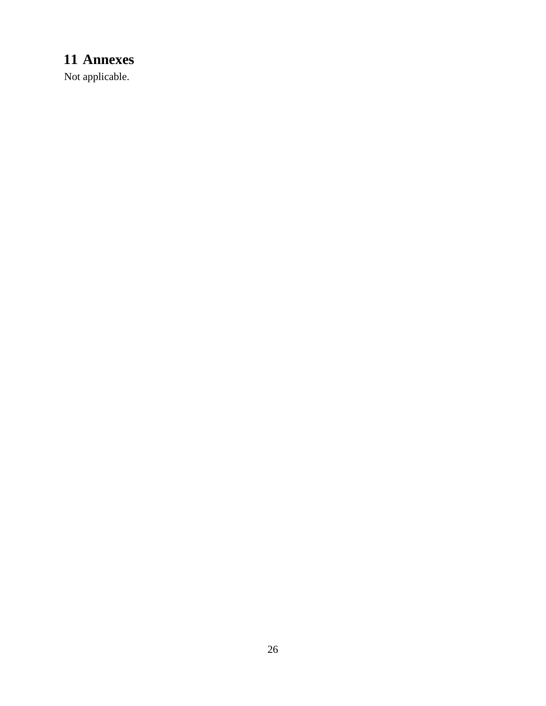# <span id="page-25-0"></span>**Annexes**

Not applicable.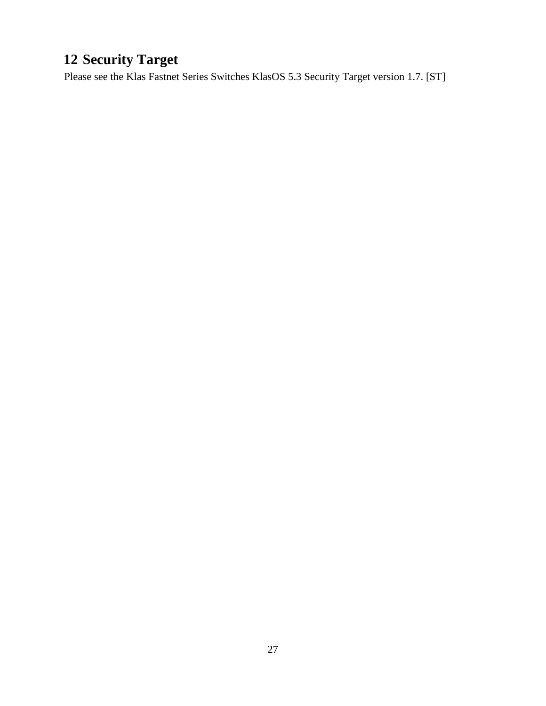# <span id="page-26-0"></span>**Security Target**

Please see the Klas Fastnet Series Switches KlasOS 5.3 Security Target version 1.7. [ST]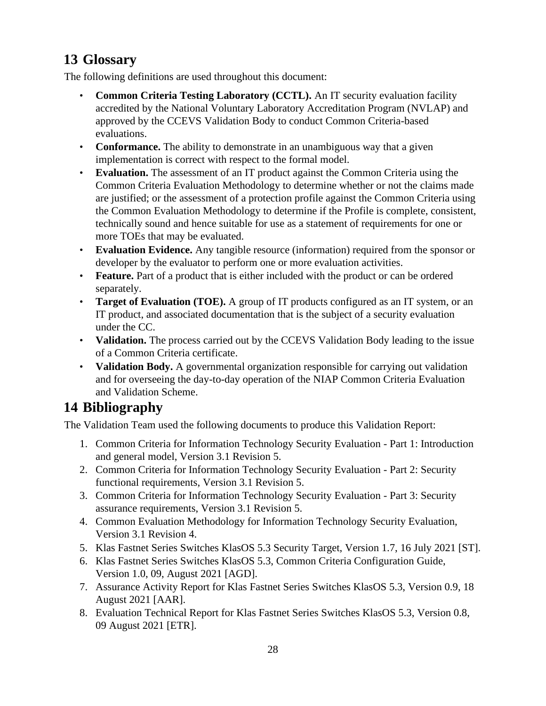# <span id="page-27-0"></span>**13 Glossary**

The following definitions are used throughout this document:

- **Common Criteria Testing Laboratory (CCTL).** An IT security evaluation facility accredited by the National Voluntary Laboratory Accreditation Program (NVLAP) and approved by the CCEVS Validation Body to conduct Common Criteria-based evaluations.
- **Conformance.** The ability to demonstrate in an unambiguous way that a given implementation is correct with respect to the formal model.
- **Evaluation.** The assessment of an IT product against the Common Criteria using the Common Criteria Evaluation Methodology to determine whether or not the claims made are justified; or the assessment of a protection profile against the Common Criteria using the Common Evaluation Methodology to determine if the Profile is complete, consistent, technically sound and hence suitable for use as a statement of requirements for one or more TOEs that may be evaluated.
- **Evaluation Evidence.** Any tangible resource (information) required from the sponsor or developer by the evaluator to perform one or more evaluation activities.
- **Feature.** Part of a product that is either included with the product or can be ordered separately.
- **Target of Evaluation (TOE).** A group of IT products configured as an IT system, or an IT product, and associated documentation that is the subject of a security evaluation under the CC.
- **Validation.** The process carried out by the CCEVS Validation Body leading to the issue of a Common Criteria certificate.
- **Validation Body.** A governmental organization responsible for carrying out validation and for overseeing the day-to-day operation of the NIAP Common Criteria Evaluation and Validation Scheme.

### <span id="page-27-1"></span>**14 Bibliography**

The Validation Team used the following documents to produce this Validation Report:

- 1. Common Criteria for Information Technology Security Evaluation Part 1: Introduction and general model, Version 3.1 Revision 5.
- 2. Common Criteria for Information Technology Security Evaluation Part 2: Security functional requirements, Version 3.1 Revision 5.
- 3. Common Criteria for Information Technology Security Evaluation Part 3: Security assurance requirements, Version 3.1 Revision 5.
- 4. Common Evaluation Methodology for Information Technology Security Evaluation, Version 3.1 Revision 4.
- 5. Klas Fastnet Series Switches KlasOS 5.3 Security Target, Version 1.7, 16 July 2021 [ST].
- 6. Klas Fastnet Series Switches KlasOS 5.3, Common Criteria Configuration Guide, Version 1.0, 09, August 2021 [AGD].
- 7. Assurance Activity Report for Klas Fastnet Series Switches KlasOS 5.3, Version 0.9, 18 August 2021 [AAR].
- 8. Evaluation Technical Report for Klas Fastnet Series Switches KlasOS 5.3, Version 0.8, 09 August 2021 [ETR].